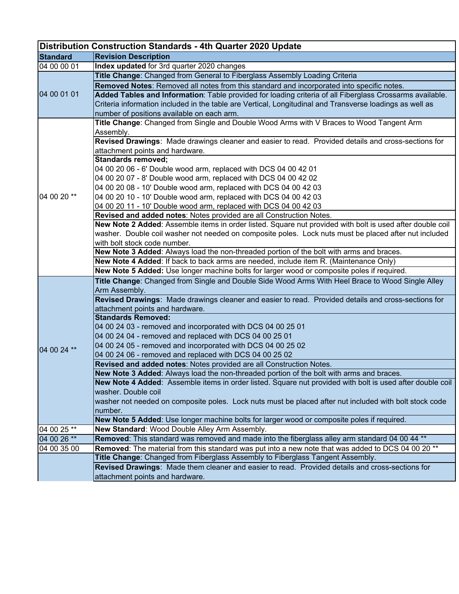| Distribution Construction Standards - 4th Quarter 2020 Update |                                                                                                           |  |
|---------------------------------------------------------------|-----------------------------------------------------------------------------------------------------------|--|
| <b>Standard</b>                                               | <b>Revision Description</b>                                                                               |  |
| 04 00 00 01                                                   | Index updated for 3rd quarter 2020 changes                                                                |  |
| 04 00 01 01                                                   | Title Change: Changed from General to Fiberglass Assembly Loading Criteria                                |  |
|                                                               | Removed Notes: Removed all notes from this standard and incorporated into specific notes.                 |  |
|                                                               | Added Tables and Information: Table provided for loading criteria of all Fiberglass Crossarms available.  |  |
|                                                               | Criteria information included in the table are Vertical, Longitudinal and Transverse loadings as well as  |  |
|                                                               | number of positions available on each arm.                                                                |  |
|                                                               | Title Change: Changed from Single and Double Wood Arms with V Braces to Wood Tangent Arm                  |  |
|                                                               | Assembly.                                                                                                 |  |
|                                                               | Revised Drawings: Made drawings cleaner and easier to read. Provided details and cross-sections for       |  |
|                                                               | attachment points and hardware.                                                                           |  |
|                                                               | <b>Standards removed;</b>                                                                                 |  |
|                                                               | 04 00 20 06 - 6' Double wood arm, replaced with DCS 04 00 42 01                                           |  |
|                                                               | 04 00 20 07 - 8' Double wood arm, replaced with DCS 04 00 42 02                                           |  |
|                                                               | 04 00 20 08 - 10' Double wood arm, replaced with DCS 04 00 42 03                                          |  |
| 04 00 20 **                                                   | 04 00 20 10 - 10' Double wood arm, replaced with DCS 04 00 42 03                                          |  |
|                                                               | 04 00 20 11 - 10' Double wood arm, replaced with DCS 04 00 42 03                                          |  |
|                                                               | Revised and added notes: Notes provided are all Construction Notes.                                       |  |
|                                                               | New Note 2 Added: Assemble items in order listed. Square nut provided with bolt is used after double coil |  |
|                                                               | washer. Double coil washer not needed on composite poles. Lock nuts must be placed after nut included     |  |
|                                                               | with bolt stock code number.                                                                              |  |
|                                                               | New Note 3 Added: Always load the non-threaded portion of the bolt with arms and braces.                  |  |
|                                                               | New Note 4 Added: If back to back arms are needed, include item R. (Maintenance Only)                     |  |
|                                                               | New Note 5 Added: Use longer machine bolts for larger wood or composite poles if required.                |  |
|                                                               | Title Change: Changed from Single and Double Side Wood Arms With Heel Brace to Wood Single Alley          |  |
|                                                               | Arm Assembly.                                                                                             |  |
|                                                               | Revised Drawings: Made drawings cleaner and easier to read. Provided details and cross-sections for       |  |
|                                                               | attachment points and hardware.                                                                           |  |
| 04 00 24 **                                                   | <b>Standards Removed:</b>                                                                                 |  |
|                                                               | 04 00 24 03 - removed and incorporated with DCS 04 00 25 01                                               |  |
|                                                               | 04 00 24 04 - removed and replaced with DCS 04 00 25 01                                                   |  |
|                                                               | 04 00 24 05 - removed and incorporated with DCS 04 00 25 02                                               |  |
|                                                               | 04 00 24 06 - removed and replaced with DCS 04 00 25 02                                                   |  |
|                                                               | Revised and added notes: Notes provided are all Construction Notes.                                       |  |
|                                                               | <b>New Note 3 Added:</b> Always load the non-threaded portion of the bolt with arms and braces.           |  |
|                                                               | New Note 4 Added: Assemble items in order listed. Square nut provided with bolt is used after double coil |  |
|                                                               | washer. Double coil                                                                                       |  |
|                                                               | washer not needed on composite poles. Lock nuts must be placed after nut included with bolt stock code    |  |
|                                                               | number.                                                                                                   |  |
|                                                               | New Note 5 Added: Use longer machine bolts for larger wood or composite poles if required.                |  |
| 04 00 25 **                                                   | New Standard: Wood Double Alley Arm Assembly.                                                             |  |
| 04 00 26 **                                                   | Removed: This standard was removed and made into the fiberglass alley arm standard 04 00 44 **            |  |
| 04 00 35 00                                                   | Removed: The material from this standard was put into a new note that was added to DCS 04 00 20 **        |  |
|                                                               | Title Change: Changed from Fiberglass Assembly to Fiberglass Tangent Assembly.                            |  |
|                                                               | Revised Drawings: Made them cleaner and easier to read. Provided details and cross-sections for           |  |
|                                                               | attachment points and hardware.                                                                           |  |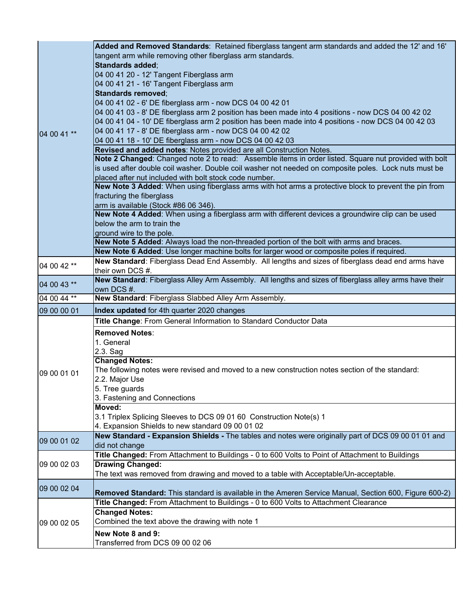|             | Added and Removed Standards: Retained fiberglass tangent arm standards and added the 12' and 16'             |
|-------------|--------------------------------------------------------------------------------------------------------------|
|             | tangent arm while removing other fiberglass arm standards.                                                   |
|             |                                                                                                              |
|             | <b>Standards added;</b>                                                                                      |
|             | 04 00 41 20 - 12' Tangent Fiberglass arm                                                                     |
|             | 04 00 41 21 - 16' Tangent Fiberglass arm                                                                     |
|             | Standards removed;                                                                                           |
|             | 04 00 41 02 - 6' DE fiberglass arm - now DCS 04 00 42 01                                                     |
| 04 00 41 ** |                                                                                                              |
|             | 04 00 41 03 - 8' DE fiberglass arm 2 position has been made into 4 positions - now DCS 04 00 42 02           |
|             | 04 00 41 04 - 10' DE fiberglass arm 2 position has been made into 4 positions - now DCS 04 00 42 03          |
|             | 04 00 41 17 - 8' DE fiberglass arm - now DCS 04 00 42 02                                                     |
|             | 04 00 41 18 - 10' DE fiberglass arm - now DCS 04 00 42 03                                                    |
|             | Revised and added notes: Notes provided are all Construction Notes.                                          |
|             | Note 2 Changed: Changed note 2 to read: Assemble items in order listed. Square nut provided with bolt        |
|             |                                                                                                              |
|             | is used after double coil washer. Double coil washer not needed on composite poles. Lock nuts must be        |
|             | placed after nut included with bolt stock code number.                                                       |
|             | New Note 3 Added: When using fiberglass arms with hot arms a protective block to prevent the pin from        |
|             | fracturing the fiberglass                                                                                    |
|             | arm is available (Stock #86 06 346).                                                                         |
|             | New Note 4 Added: When using a fiberglass arm with different devices a groundwire clip can be used           |
|             |                                                                                                              |
|             | below the arm to train the                                                                                   |
|             | ground wire to the pole.                                                                                     |
|             | New Note 5 Added: Always load the non-threaded portion of the bolt with arms and braces.                     |
|             | New Note 6 Added: Use longer machine bolts for larger wood or composite poles if required.                   |
|             | New Standard: Fiberglass Dead End Assembly. All lengths and sizes of fiberglass dead end arms have           |
| 04 00 42 ** |                                                                                                              |
|             | their own DCS #.                                                                                             |
| 04 00 43 ** | New Standard: Fiberglass Alley Arm Assembly. All lengths and sizes of fiberglass alley arms have their       |
|             | own DCS #.                                                                                                   |
|             |                                                                                                              |
| 04 00 44 ** | New Standard: Fiberglass Slabbed Alley Arm Assembly.                                                         |
| 09 00 00 01 |                                                                                                              |
|             | Index updated for 4th quarter 2020 changes                                                                   |
|             | Title Change: From General Information to Standard Conductor Data                                            |
|             | <b>Removed Notes:</b>                                                                                        |
|             | 1. General                                                                                                   |
|             |                                                                                                              |
|             | 2.3. Sag                                                                                                     |
|             | <b>Changed Notes:</b>                                                                                        |
| 09 00 01 01 | The following notes were revised and moved to a new construction notes section of the standard:              |
|             | 2.2. Major Use                                                                                               |
|             | 5. Tree guards                                                                                               |
|             | 3. Fastening and Connections                                                                                 |
|             | Moved:                                                                                                       |
|             |                                                                                                              |
|             | 3.1 Triplex Splicing Sleeves to DCS 09 01 60 Construction Note(s) 1                                          |
|             | 4. Expansion Shields to new standard 09 00 01 02                                                             |
|             | New Standard - Expansion Shields - The tables and notes were originally part of DCS 09 00 01 01 and          |
| 09 00 01 02 | did not change                                                                                               |
|             | Title Changed: From Attachment to Buildings - 0 to 600 Volts to Point of Attachment to Buildings             |
|             |                                                                                                              |
| 09 00 02 03 | <b>Drawing Changed:</b>                                                                                      |
|             | The text was removed from drawing and moved to a table with Acceptable/Un-acceptable.                        |
|             |                                                                                                              |
| 09 00 02 04 | <b>Removed Standard:</b> This standard is available in the Ameren Service Manual, Section 600, Figure 600-2) |
|             | Title Changed: From Attachment to Buildings - 0 to 600 Volts to Attachment Clearance                         |
|             |                                                                                                              |
|             | <b>Changed Notes:</b>                                                                                        |
| 09 00 02 05 | Combined the text above the drawing with note 1                                                              |
|             | New Note 8 and 9:                                                                                            |
|             | Transferred from DCS 09 00 02 06                                                                             |